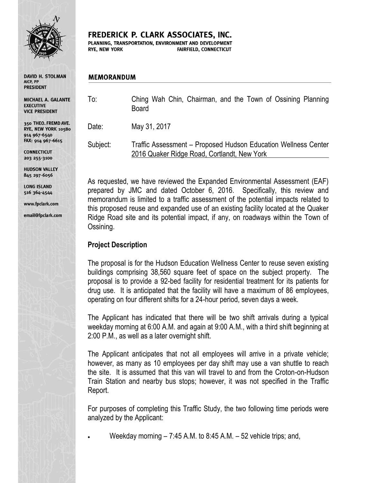

**DAVID H. STOLMAN** AICP, PP **PRESIDENT** 

MICHAEL A. GALANTE **EXECUTIVE VICE PRESIDENT** 

350 THEO. FREMD AVE. RYE, NEW YORK 10580 914 967-6540 FAX: 914 967-6615

**CONNECTICUT** 203 255-3100

**HUDSON VALLEY** 845 297-6056

**LONG ISLAND** 516 364-4544

www.fpclark.com

email@fpclark.com

FREDERICK P. CLARK ASSOCIATES, INC.

PLANNING, TRANSPORTATION, ENVIRONMENT AND DEVELOPMENT **RYE, NEW YORK** FAIRFIELD, CONNECTICUT

#### **MEMORANDUM**

To: Ching Wah Chin, Chairman, and the Town of Ossining Planning Board

Date: May 31, 2017

Subject: Traffic Assessment – Proposed Hudson Education Wellness Center 2016 Quaker Ridge Road, Cortlandt, New York

As requested, we have reviewed the Expanded Environmental Assessment (EAF) prepared by JMC and dated October 6, 2016. Specifically, this review and memorandum is limited to a traffic assessment of the potential impacts related to this proposed reuse and expanded use of an existing facility located at the Quaker Ridge Road site and its potential impact, if any, on roadways within the Town of Ossining.

# **Project Description**

The proposal is for the Hudson Education Wellness Center to reuse seven existing buildings comprising 38,560 square feet of space on the subject property. The proposal is to provide a 92-bed facility for residential treatment for its patients for drug use. It is anticipated that the facility will have a maximum of 86 employees, operating on four different shifts for a 24-hour period, seven days a week.

The Applicant has indicated that there will be two shift arrivals during a typical weekday morning at 6:00 A.M. and again at 9:00 A.M., with a third shift beginning at 2:00 P.M., as well as a later overnight shift.

The Applicant anticipates that not all employees will arrive in a private vehicle; however, as many as 10 employees per day shift may use a van shuttle to reach the site. It is assumed that this van will travel to and from the Croton-on-Hudson Train Station and nearby bus stops; however, it was not specified in the Traffic Report.

For purposes of completing this Traffic Study, the two following time periods were analyzed by the Applicant:

Weekday morning – 7:45 A.M. to 8:45 A.M. – 52 vehicle trips; and,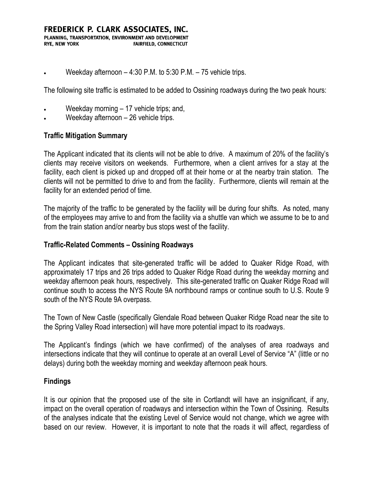Weekday afternoon – 4:30 P.M. to 5:30 P.M. – 75 vehicle trips.

The following site traffic is estimated to be added to Ossining roadways during the two peak hours:

- Weekday morning 17 vehicle trips; and,
- Weekday afternoon 26 vehicle trips.

### **Traffic Mitigation Summary**

The Applicant indicated that its clients will not be able to drive. A maximum of 20% of the facility's clients may receive visitors on weekends. Furthermore, when a client arrives for a stay at the facility, each client is picked up and dropped off at their home or at the nearby train station. The clients will not be permitted to drive to and from the facility. Furthermore, clients will remain at the facility for an extended period of time.

The majority of the traffic to be generated by the facility will be during four shifts. As noted, many of the employees may arrive to and from the facility via a shuttle van which we assume to be to and from the train station and/or nearby bus stops west of the facility.

#### **Traffic-Related Comments – Ossining Roadways**

The Applicant indicates that site-generated traffic will be added to Quaker Ridge Road, with approximately 17 trips and 26 trips added to Quaker Ridge Road during the weekday morning and weekday afternoon peak hours, respectively. This site-generated traffic on Quaker Ridge Road will continue south to access the NYS Route 9A northbound ramps or continue south to U.S. Route 9 south of the NYS Route 9A overpass.

The Town of New Castle (specifically Glendale Road between Quaker Ridge Road near the site to the Spring Valley Road intersection) will have more potential impact to its roadways.

The Applicant's findings (which we have confirmed) of the analyses of area roadways and intersections indicate that they will continue to operate at an overall Level of Service "A" (little or no delays) during both the weekday morning and weekday afternoon peak hours.

## **Findings**

It is our opinion that the proposed use of the site in Cortlandt will have an insignificant, if any, impact on the overall operation of roadways and intersection within the Town of Ossining. Results of the analyses indicate that the existing Level of Service would not change, which we agree with based on our review. However, it is important to note that the roads it will affect, regardless of